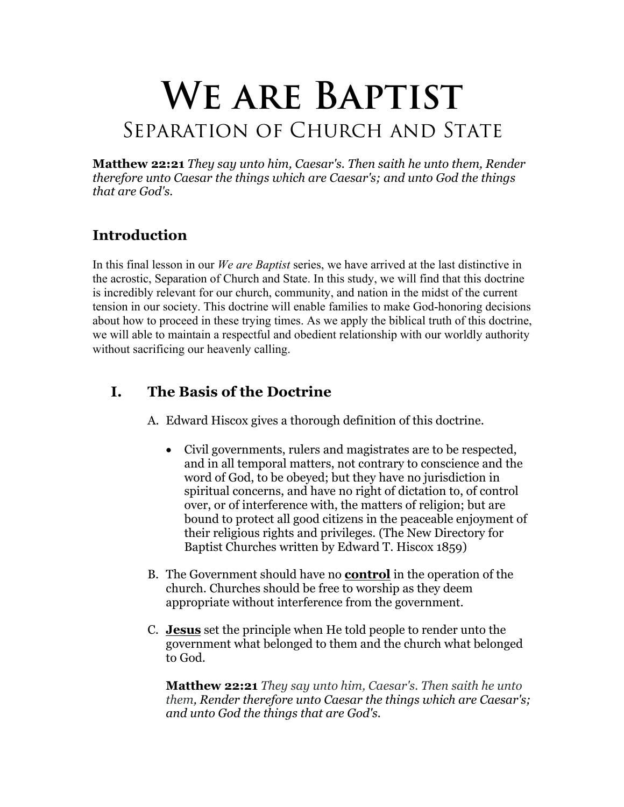# **We are Baptist** SEPARATION OF CHURCH AND STATE

**Matthew 22:21** *They say unto him, Caesar's. Then saith he unto them, Render therefore unto Caesar the things which are Caesar's; and unto God the things that are God's.*

# **Introduction**

In this final lesson in our *We are Baptist* series, we have arrived at the last distinctive in the acrostic, Separation of Church and State. In this study, we will find that this doctrine is incredibly relevant for our church, community, and nation in the midst of the current tension in our society. This doctrine will enable families to make God-honoring decisions about how to proceed in these trying times. As we apply the biblical truth of this doctrine, we will able to maintain a respectful and obedient relationship with our worldly authority without sacrificing our heavenly calling.

# **I. The Basis of the Doctrine**

A. Edward Hiscox gives a thorough definition of this doctrine.

- Civil governments, rulers and magistrates are to be respected, and in all temporal matters, not contrary to conscience and the word of God, to be obeyed; but they have no jurisdiction in spiritual concerns, and have no right of dictation to, of control over, or of interference with, the matters of religion; but are bound to protect all good citizens in the peaceable enjoyment of their religious rights and privileges. (The New Directory for Baptist Churches written by Edward T. Hiscox 1859)
- B. The Government should have no **control** in the operation of the church. Churches should be free to worship as they deem appropriate without interference from the government.
- C. **Jesus** set the principle when He told people to render unto the government what belonged to them and the church what belonged to God.

**Matthew 22:21** *They say unto him, Caesar's. Then saith he unto them, Render therefore unto Caesar the things which are Caesar's; and unto God the things that are God's.*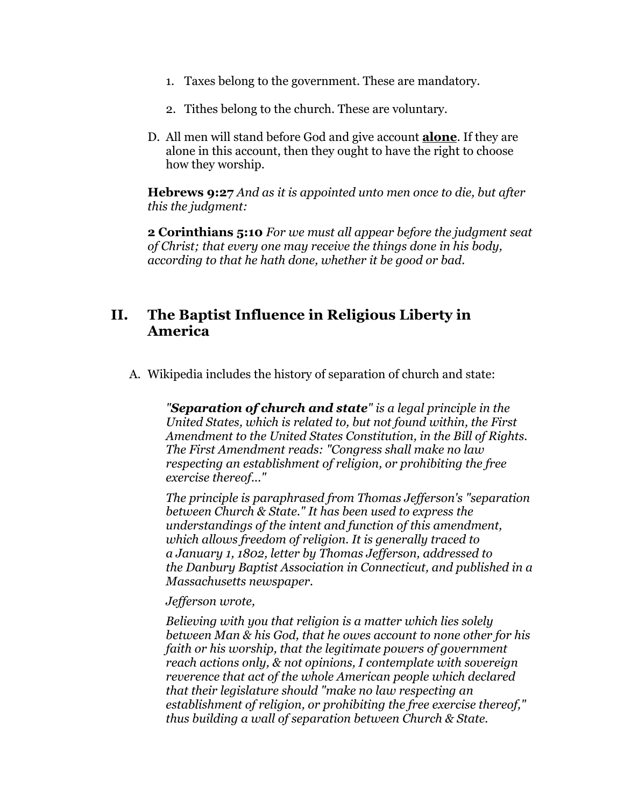- 1. Taxes belong to the government. These are mandatory.
- 2. Tithes belong to the church. These are voluntary.
- D. All men will stand before God and give account **alone**. If they are alone in this account, then they ought to have the right to choose how they worship.

**Hebrews 9:27** *And as it is appointed unto men once to die, but after this the judgment:*

**2 Corinthians 5:10** *For we must all appear before the judgment seat of Christ; that every one may receive the things done in his body, according to that he hath done, whether it be good or bad.*

## **II. The Baptist Influence in Religious Liberty in America**

A. Wikipedia includes the history of separation of church and state:

*"Separation of church and state" is a legal principle in the United States, which is related to, but not found within, the First Amendment to the United States Constitution, in the Bill of Rights. The First Amendment reads: "Congress shall make no law respecting an establishment of religion, or prohibiting the free exercise thereof..."*

*The principle is paraphrased from Thomas Jefferson's "separation between Church & State." It has been used to express the understandings of the intent and function of this amendment, which allows freedom of religion. It is generally traced to a January 1, 1802, letter by Thomas Jefferson, addressed to the Danbury Baptist Association in Connecticut, and published in a Massachusetts newspaper.*

#### *Jefferson wrote,*

*Believing with you that religion is a matter which lies solely between Man & his God, that he owes account to none other for his faith or his worship, that the legitimate powers of government reach actions only, & not opinions, I contemplate with sovereign reverence that act of the whole American people which declared that their legislature should "make no law respecting an establishment of religion, or prohibiting the free exercise thereof," thus building a wall of separation between Church & State.*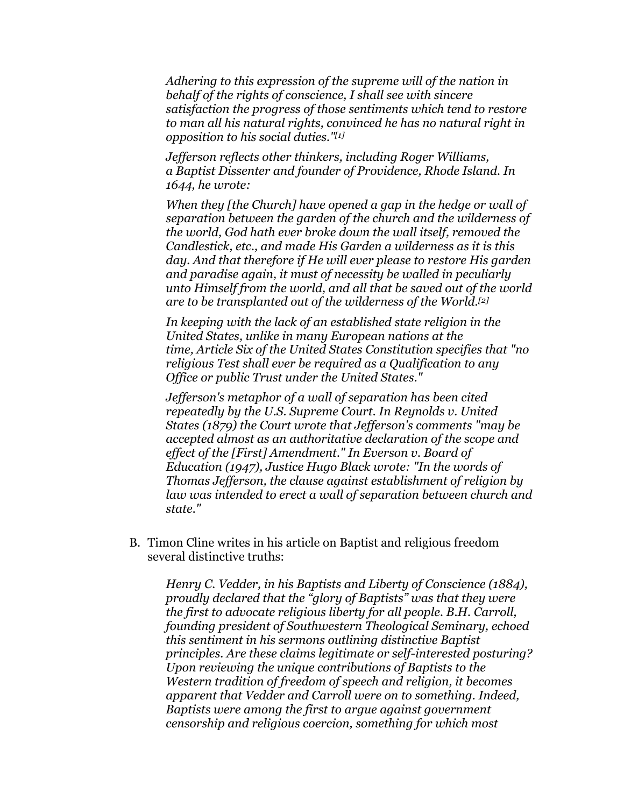*Adhering to this expression of the supreme will of the nation in behalf of the rights of conscience, I shall see with sincere satisfaction the progress of those sentiments which tend to restore to man all his natural rights, convinced he has no natural right in opposition to his social duties."[1]*

*Jefferson reflects other thinkers, including Roger Williams, a Baptist Dissenter and founder of Providence, Rhode Island. In 1644, he wrote:*

*When they [the Church] have opened a gap in the hedge or wall of separation between the garden of the church and the wilderness of the world, God hath ever broke down the wall itself, removed the Candlestick, etc., and made His Garden a wilderness as it is this day. And that therefore if He will ever please to restore His garden and paradise again, it must of necessity be walled in peculiarly unto Himself from the world, and all that be saved out of the world are to be transplanted out of the wilderness of the World.[2]*

*In keeping with the lack of an established state religion in the United States, unlike in many European nations at the time, Article Six of the United States Constitution specifies that "no religious Test shall ever be required as a Qualification to any Office or public Trust under the United States."*

*Jefferson's metaphor of a wall of separation has been cited repeatedly by the U.S. Supreme Court. In Reynolds v. United States (1879) the Court wrote that Jefferson's comments "may be accepted almost as an authoritative declaration of the scope and effect of the [First] Amendment." In Everson v. Board of Education (1947), Justice Hugo Black wrote: "In the words of Thomas Jefferson, the clause against establishment of religion by law was intended to erect a wall of separation between church and state."*

B. Timon Cline writes in his article on Baptist and religious freedom several distinctive truths:

*Henry C. Vedder, in his Baptists and Liberty of Conscience (1884), proudly declared that the "glory of Baptists" was that they were the first to advocate religious liberty for all people. B.H. Carroll, founding president of Southwestern Theological Seminary, echoed this sentiment in his sermons outlining distinctive Baptist principles. Are these claims legitimate or self-interested posturing? Upon reviewing the unique contributions of Baptists to the Western tradition of freedom of speech and religion, it becomes apparent that Vedder and Carroll were on to something. Indeed, Baptists were among the first to argue against government censorship and religious coercion, something for which most*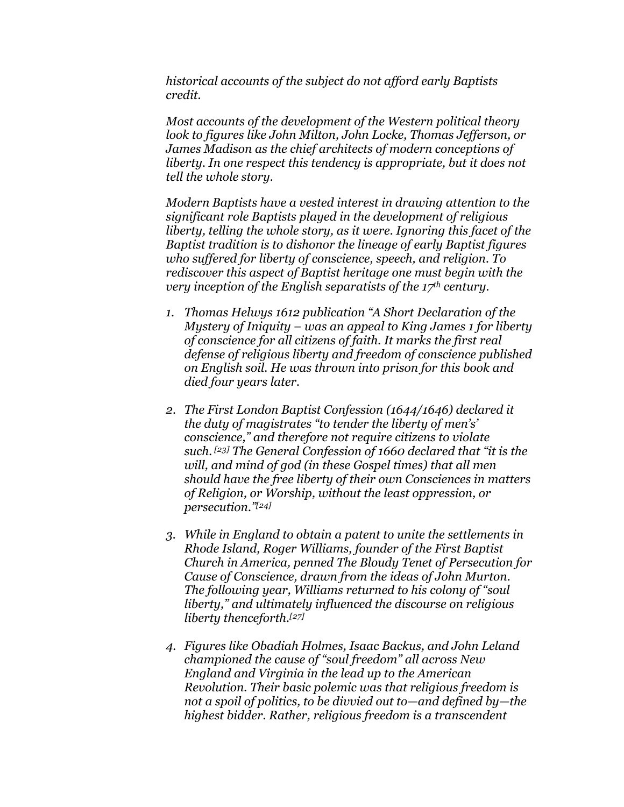*historical accounts of the subject do not afford early Baptists credit.*

*Most accounts of the development of the Western political theory look to figures like John Milton, John Locke, Thomas Jefferson, or James Madison as the chief architects of modern conceptions of liberty. In one respect this tendency is appropriate, but it does not tell the whole story.*

*Modern Baptists have a vested interest in drawing attention to the significant role Baptists played in the development of religious liberty, telling the whole story, as it were. Ignoring this facet of the Baptist tradition is to dishonor the lineage of early Baptist figures who suffered for liberty of conscience, speech, and religion. To rediscover this aspect of Baptist heritage one must begin with the very inception of the English separatists of the 17th century.*

- *1. Thomas Helwys 1612 publication "A Short Declaration of the Mystery of Iniquity – was an appeal to King James 1 for liberty of conscience for all citizens of faith. It marks the first real defense of religious liberty and freedom of conscience published on English soil. He was thrown into prison for this book and died four years later.*
- *2. The First London Baptist Confession (1644/1646) declared it the duty of magistrates "to tender the liberty of men's' conscience," and therefore not require citizens to violate such. [23] The General Confession of 1660 declared that "it is the will, and mind of god (in these Gospel times) that all men should have the free liberty of their own Consciences in matters of Religion, or Worship, without the least oppression, or persecution."[24]*
- *3. While in England to obtain a patent to unite the settlements in Rhode Island, Roger Williams, founder of the First Baptist Church in America, penned The Bloudy Tenet of Persecution for Cause of Conscience, drawn from the ideas of John Murton. The following year, Williams returned to his colony of "soul liberty," and ultimately influenced the discourse on religious liberty thenceforth.[27]*
- *4. Figures like Obadiah Holmes, Isaac Backus, and John Leland championed the cause of "soul freedom" all across New England and Virginia in the lead up to the American Revolution. Their basic polemic was that religious freedom is not a spoil of politics, to be divvied out to—and defined by—the highest bidder. Rather, religious freedom is a transcendent*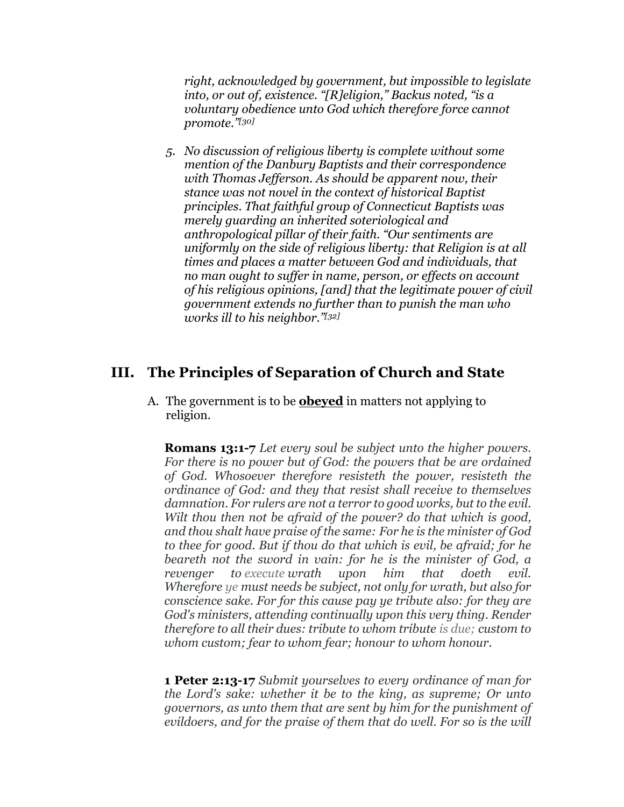*right, acknowledged by government, but impossible to legislate into, or out of, existence. "[R]eligion," Backus noted, "is a voluntary obedience unto God which therefore force cannot promote."[30]*

*5. No discussion of religious liberty is complete without some mention of the Danbury Baptists and their correspondence with Thomas Jefferson. As should be apparent now, their stance was not novel in the context of historical Baptist principles. That faithful group of Connecticut Baptists was merely guarding an inherited soteriological and anthropological pillar of their faith. "Our sentiments are uniformly on the side of religious liberty: that Religion is at all times and places a matter between God and individuals, that no man ought to suffer in name, person, or effects on account of his religious opinions, [and] that the legitimate power of civil government extends no further than to punish the man who works ill to his neighbor."[32]*

### **III. The Principles of Separation of Church and State**

A. The government is to be **obeyed** in matters not applying to religion.

**Romans 13:1-7** *Let every soul be subject unto the higher powers. For there is no power but of God: the powers that be are ordained of God. Whosoever therefore resisteth the power, resisteth the ordinance of God: and they that resist shall receive to themselves damnation. For rulers are not a terror to good works, but to the evil. Wilt thou then not be afraid of the power? do that which is good, and thou shalt have praise of the same: For he is the minister of God to thee for good. But if thou do that which is evil, be afraid; for he beareth not the sword in vain: for he is the minister of God, a revenger to execute wrath upon him that doeth evil. Wherefore ye must needs be subject, not only for wrath, but also for conscience sake. For for this cause pay ye tribute also: for they are God's ministers, attending continually upon this very thing. Render therefore to all their dues: tribute to whom tribute is due; custom to whom custom; fear to whom fear; honour to whom honour.*

**1 Peter 2:13-17** *Submit yourselves to every ordinance of man for the Lord's sake: whether it be to the king, as supreme; Or unto governors, as unto them that are sent by him for the punishment of evildoers, and for the praise of them that do well. For so is the will*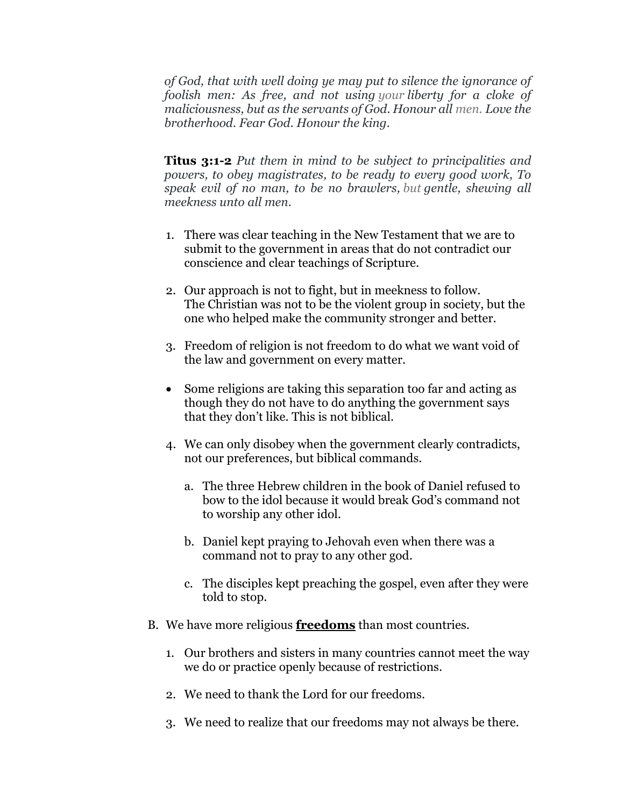*of God, that with well doing ye may put to silence the ignorance of foolish men: As free, and not using your liberty for a cloke of maliciousness, but as the servants of God. Honour all men. Love the brotherhood. Fear God. Honour the king.*

**Titus 3:1-2** *Put them in mind to be subject to principalities and powers, to obey magistrates, to be ready to every good work, To speak evil of no man, to be no brawlers, but gentle, shewing all meekness unto all men.*

- 1. There was clear teaching in the New Testament that we are to submit to the government in areas that do not contradict our conscience and clear teachings of Scripture.
- 2. Our approach is not to fight, but in meekness to follow. The Christian was not to be the violent group in society, but the one who helped make the community stronger and better.
- 3. Freedom of religion is not freedom to do what we want void of the law and government on every matter.
- Some religions are taking this separation too far and acting as though they do not have to do anything the government says that they don't like. This is not biblical.
- 4. We can only disobey when the government clearly contradicts, not our preferences, but biblical commands.
	- a. The three Hebrew children in the book of Daniel refused to bow to the idol because it would break God's command not to worship any other idol.
	- b. Daniel kept praying to Jehovah even when there was a command not to pray to any other god.
	- c. The disciples kept preaching the gospel, even after they were told to stop.
- B. We have more religious **freedoms** than most countries.
	- 1. Our brothers and sisters in many countries cannot meet the way we do or practice openly because of restrictions.
	- 2. We need to thank the Lord for our freedoms.
	- 3. We need to realize that our freedoms may not always be there.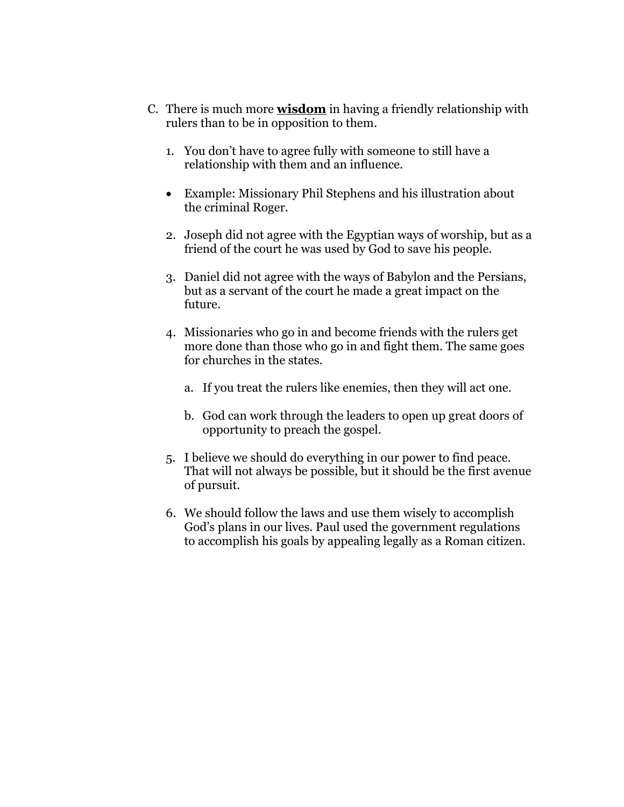- C. There is much more **wisdom** in having a friendly relationship with rulers than to be in opposition to them.
	- 1. You don't have to agree fully with someone to still have a relationship with them and an influence.
	- Example: Missionary Phil Stephens and his illustration about the criminal Roger.
	- 2. Joseph did not agree with the Egyptian ways of worship, but as a friend of the court he was used by God to save his people.
	- 3. Daniel did not agree with the ways of Babylon and the Persians, but as a servant of the court he made a great impact on the future.
	- 4. Missionaries who go in and become friends with the rulers get more done than those who go in and fight them. The same goes for churches in the states.
		- a. If you treat the rulers like enemies, then they will act one.
		- b. God can work through the leaders to open up great doors of opportunity to preach the gospel.
	- 5. I believe we should do everything in our power to find peace. That will not always be possible, but it should be the first avenue of pursuit.
	- 6. We should follow the laws and use them wisely to accomplish God's plans in our lives. Paul used the government regulations to accomplish his goals by appealing legally as a Roman citizen.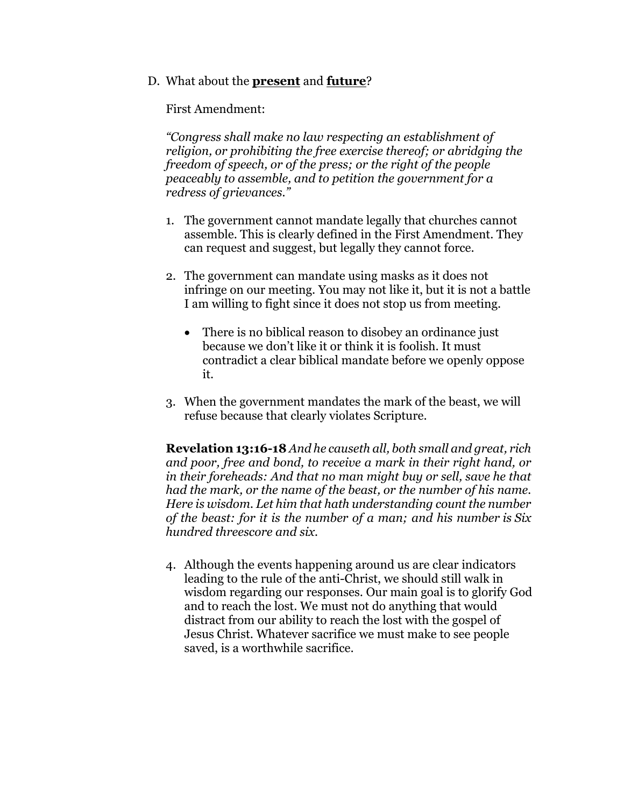#### D. What about the **present** and **future**?

First Amendment:

*"Congress shall make no law respecting an establishment of religion, or prohibiting the free exercise thereof; or abridging the freedom of speech, or of the press; or the right of the people peaceably to assemble, and to petition the government for a redress of grievances."*

- 1. The government cannot mandate legally that churches cannot assemble. This is clearly defined in the First Amendment. They can request and suggest, but legally they cannot force.
- 2. The government can mandate using masks as it does not infringe on our meeting. You may not like it, but it is not a battle I am willing to fight since it does not stop us from meeting.
	- There is no biblical reason to disobey an ordinance just because we don't like it or think it is foolish. It must contradict a clear biblical mandate before we openly oppose it.
- 3. When the government mandates the mark of the beast, we will refuse because that clearly violates Scripture.

**Revelation 13:16-18** *And he causeth all, both small and great, rich and poor, free and bond, to receive a mark in their right hand, or in their foreheads: And that no man might buy or sell, save he that had the mark, or the name of the beast, or the number of his name. Here is wisdom. Let him that hath understanding count the number of the beast: for it is the number of a man; and his number is Six hundred threescore and six.*

4. Although the events happening around us are clear indicators leading to the rule of the anti-Christ, we should still walk in wisdom regarding our responses. Our main goal is to glorify God and to reach the lost. We must not do anything that would distract from our ability to reach the lost with the gospel of Jesus Christ. Whatever sacrifice we must make to see people saved, is a worthwhile sacrifice.